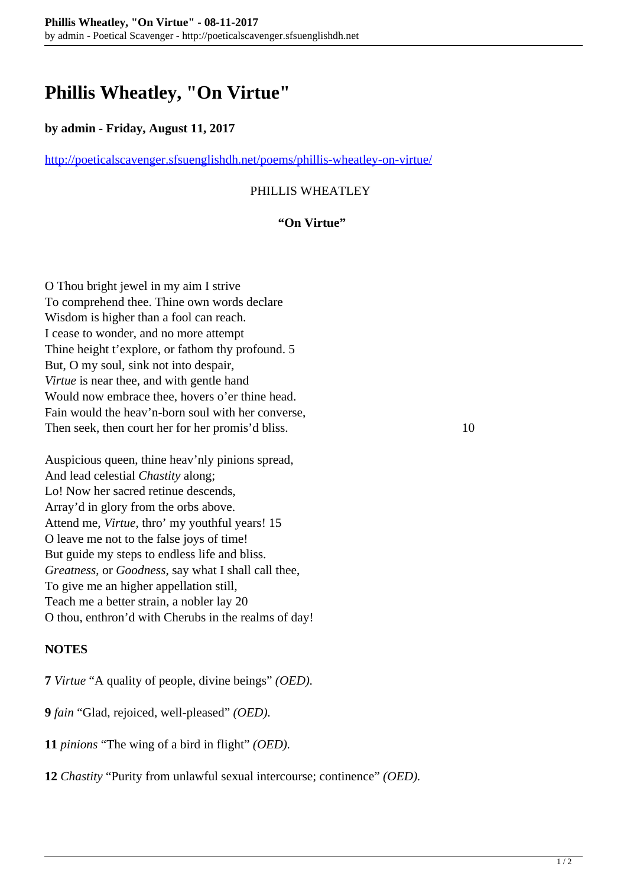# **Phillis Wheatley, "On Virtue"**

#### **by admin - Friday, August 11, 2017**

<http://poeticalscavenger.sfsuenglishdh.net/poems/phillis-wheatley-on-virtue/>

### PHILLIS WHEATLEY

#### **"On Virtue"**

O Thou bright jewel in my aim I strive To comprehend thee. Thine own words declare Wisdom is higher than a fool can reach. I cease to wonder, and no more attempt Thine height t'explore, or fathom thy profound. 5 But, O my soul, sink not into despair, *Virtue* is near thee, and with gentle hand Would now embrace thee, hovers o'er thine head. Fain would the heav'n-born soul with her converse, Then seek, then court her for her promis'd bliss. 10

Auspicious queen, thine heav'nly pinions spread, And lead celestial *Chastity* along; Lo! Now her sacred retinue descends, Array'd in glory from the orbs above. Attend me, *Virtue*, thro' my youthful years! 15 O leave me not to the false joys of time! But guide my steps to endless life and bliss. *Greatness*, or *Goodness*, say what I shall call thee, To give me an higher appellation still, Teach me a better strain, a nobler lay 20 O thou, enthron'd with Cherubs in the realms of day!

#### **NOTES**

**7** *Virtue* "A quality of people, divine beings" *(OED).*

**9** *fain* "Glad, rejoiced, well-pleased" *(OED).*

**11** *pinions* "The wing of a bird in flight" *(OED).*

**12** *Chastity* "Purity from unlawful sexual intercourse; continence" *(OED).*